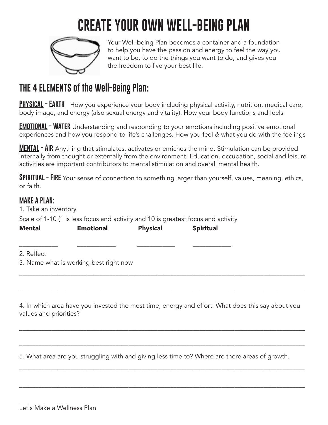### **CREATE YOUR OWN WELL-BEING PLAN**



Your Well-being Plan becomes a container and a foundation to help you have the passion and energy to feel the way you want to be, to do the things you want to do, and gives you the freedom to live your best life.

### **THE 4 ELEMENTS of the Well-Being Plan:**

**Physical - Earth** How you experience your body including physical activity, nutrition, medical care, body image, and energy (also sexual energy and vitality). How your body functions and feels

**EMOTIONAL - WATER** Understanding and responding to your emotions including positive emotional experiences and how you respond to life's challenges. How you feel & what you do with the feelings

**MENTAL - AIR** Anything that stimulates, activates or enriches the mind. Stimulation can be provided internally from thought or externally from the environment. Education, occupation, social and leisure activities are important contributors to mental stimulation and overall mental health.

**SPIRITUAL - FIRE** Your sense of connection to something larger than yourself, values, meaning, ethics, or faith.

#### **MAKE A PLAN:**

1. Take an inventory

Scale of 1-10 (1 is less focus and activity and 10 is greatest focus and activity

| <b>Mental</b> | <b>Emotional</b> | <b>Physical</b> | <b>Spiritual</b> |
|---------------|------------------|-----------------|------------------|
|               |                  |                 |                  |

\_\_\_\_\_\_\_\_\_\_\_\_ \_\_\_\_\_\_\_\_\_\_\_\_ \_\_\_\_\_\_\_\_\_\_\_\_ \_\_\_\_\_\_\_\_\_\_\_\_

2. Reflect

3. Name what is working best right now

4. In which area have you invested the most time, energy and effort. What does this say about you values and priorities?

\_\_\_\_\_\_\_\_\_\_\_\_\_\_\_\_\_\_\_\_\_\_\_\_\_\_\_\_\_\_\_\_\_\_\_\_\_\_\_\_\_\_\_\_\_\_\_\_\_\_\_\_\_\_\_\_\_\_\_\_\_\_\_\_\_\_\_\_\_\_\_\_\_\_\_\_\_\_\_\_\_\_\_\_\_\_\_\_\_

\_\_\_\_\_\_\_\_\_\_\_\_\_\_\_\_\_\_\_\_\_\_\_\_\_\_\_\_\_\_\_\_\_\_\_\_\_\_\_\_\_\_\_\_\_\_\_\_\_\_\_\_\_\_\_\_\_\_\_\_\_\_\_\_\_\_\_\_\_\_\_\_\_\_\_\_\_\_\_\_\_\_\_\_\_\_\_\_\_

\_\_\_\_\_\_\_\_\_\_\_\_\_\_\_\_\_\_\_\_\_\_\_\_\_\_\_\_\_\_\_\_\_\_\_\_\_\_\_\_\_\_\_\_\_\_\_\_\_\_\_\_\_\_\_\_\_\_\_\_\_\_\_\_\_\_\_\_\_\_\_\_\_\_\_\_\_\_\_\_\_\_\_\_\_\_\_\_\_

\_\_\_\_\_\_\_\_\_\_\_\_\_\_\_\_\_\_\_\_\_\_\_\_\_\_\_\_\_\_\_\_\_\_\_\_\_\_\_\_\_\_\_\_\_\_\_\_\_\_\_\_\_\_\_\_\_\_\_\_\_\_\_\_\_\_\_\_\_\_\_\_\_\_\_\_\_\_\_\_\_\_\_\_\_\_\_\_\_

\_\_\_\_\_\_\_\_\_\_\_\_\_\_\_\_\_\_\_\_\_\_\_\_\_\_\_\_\_\_\_\_\_\_\_\_\_\_\_\_\_\_\_\_\_\_\_\_\_\_\_\_\_\_\_\_\_\_\_\_\_\_\_\_\_\_\_\_\_\_\_\_\_\_\_\_\_\_\_\_\_\_\_\_\_\_\_\_\_

\_\_\_\_\_\_\_\_\_\_\_\_\_\_\_\_\_\_\_\_\_\_\_\_\_\_\_\_\_\_\_\_\_\_\_\_\_\_\_\_\_\_\_\_\_\_\_\_\_\_\_\_\_\_\_\_\_\_\_\_\_\_\_\_\_\_\_\_\_\_\_\_\_\_\_\_\_\_\_\_\_\_\_\_\_\_\_\_\_

5. What area are you struggling with and giving less time to? Where are there areas of growth.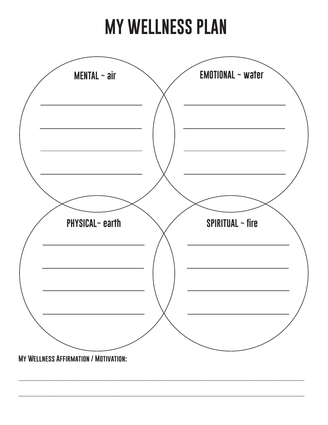# **MY WELLNESS PLAN**



\_\_\_\_\_\_\_\_\_\_\_\_\_\_\_\_\_\_\_\_\_\_\_\_\_\_\_\_\_\_\_\_\_\_\_\_\_\_\_\_\_\_\_\_\_\_\_\_\_\_\_\_\_\_\_\_\_\_\_\_\_\_\_\_\_\_\_\_\_\_\_\_\_\_\_\_\_\_\_\_\_\_\_\_\_\_\_\_\_

\_\_\_\_\_\_\_\_\_\_\_\_\_\_\_\_\_\_\_\_\_\_\_\_\_\_\_\_\_\_\_\_\_\_\_\_\_\_\_\_\_\_\_\_\_\_\_\_\_\_\_\_\_\_\_\_\_\_\_\_\_\_\_\_\_\_\_\_\_\_\_\_\_\_\_\_\_\_\_\_\_\_\_\_\_\_\_\_\_

**My Wellness Affirmation / Motivation:**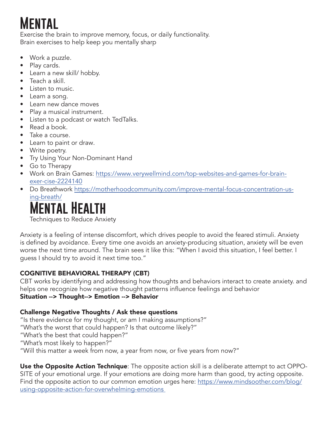### **Mental**

Exercise the brain to improve memory, focus, or daily functionality. Brain exercises to help keep you mentally sharp

- Work a puzzle.
- Play cards.
- Learn a new skill/ hobby.
- Teach a skill.
- Listen to music.
- Learn a song.
- Learn new dance moves
- Play a musical instrument.
- Listen to a podcast or watch TedTalks.
- Read a book.
- Take a course.
- Learn to paint or draw.
- Write poetry.
- Try Using Your Non-Dominant Hand
- Go to Therapy
- Work on Brain Games: https://www.verywellmind.com/top-websites-and-games-for-brainexer-cise-2224140
- Do Breathwork https://motherhoodcommunity.com/improve-mental-focus-concentration-using-breath/

### **Mental Health**

Techniques to Reduce Anxiety

Anxiety is a feeling of intense discomfort, which drives people to avoid the feared stimuli. Anxiety is defined by avoidance. Every time one avoids an anxiety-producing situation, anxiety will be even worse the next time around. The brain sees it like this: "When I avoid this situation, I feel better. I guess I should try to avoid it next time too."

#### COGNITIVE BEHAVIORAL THERAPY (CBT)

CBT works by identifying and addressing how thoughts and behaviors interact to create anxiety. and helps one recognize how negative thought patterns influence feelings and behavior Situation --> Thought--> Emotion --> Behavior

#### Challenge Negative Thoughts / Ask these questions

"Is there evidence for my thought, or am I making assumptions?"

- "What's the worst that could happen? Is that outcome likely?"
- "What's the best that could happen?"
- "What's most likely to happen?"
- "Will this matter a week from now, a year from now, or five years from now?"

Use the Opposite Action Technique: The opposite action skill is a deliberate attempt to act OPPO-SITE of your emotional urge. If your emotions are doing more harm than good, try acting opposite. Find the opposite action to our common emotion urges here: https://www.mindsoother.com/blog/ using-opposite-action-for-overwhelming-emotions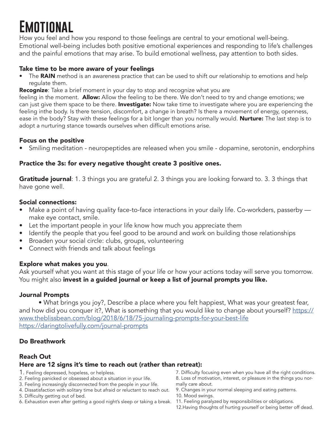### **Emotional**

How you feel and how you respond to those feelings are central to your emotional well-being. Emotional well-being includes both positive emotional experiences and responding to life's challenges and the painful emotions that may arise. To build emotional wellness, pay attention to both sides.

#### Take time to be more aware of your feelings

• The RAIN method is an awareness practice that can be used to shift our relationship to emotions and help regulate them.

**Recognize**: Take a brief moment in your day to stop and recognize what you are

feeling in the moment. Allow: Allow the feeling to be there. We don't need to try and change emotions; we can just give them space to be there. Investigate: Now take time to investigate where you are experiencing the feeling inthe body. Is there tension, discomfort, a change in breath? Is there a movement of energy, openness, ease in the body? Stay with these feelings for a bit longer than you normally would. **Nurture:** The last step is to adopt a nurturing stance towards ourselves when difficult emotions arise.

#### Focus on the positive

• Smiling meditation - neuropeptides are released when you smile - dopamine, serotonin, endorphins

#### Practice the 3s: for every negative thought create 3 positive ones.

**Gratitude journal**: 1. 3 things you are grateful 2. 3 things you are looking forward to. 3. 3 things that have gone well.

#### Social connections:

- Make a point of having quality face-to-face interactions in your daily life. Co-workders, passerby make eye contact, smile.
- Let the important people in your life know how much you appreciate them
- Identify the people that you feel good to be around and work on building those relationships
- Broaden your social circle: clubs, groups, volunteering
- Connect with friends and talk about feelings

#### Explore what makes you you.

Ask yourself what you want at this stage of your life or how your actions today will serve you tomorrow. You might also invest in a guided journal or keep a list of journal prompts you like.

#### Journal Prompts

• What brings you joy?, Describe a place where you felt happiest, What was your greatest fear, and how did you conquer it?, What is something that you would like to change about yourself? https:// www.theblissbean.com/blog/2018/6/18/75-journaling-prompts-for-your-best-life https://daringtolivefully.com/journal-prompts

#### Do Breathwork

#### Reach Out

#### Here are 12 signs it's time to reach out (rather than retreat):

- 1. Feeling depressed, hopeless, or helpless.
- 2. Feeling panicked or obsessed about a situation in your life.
- 3. Feeling increasingly disconnected from the people in your life.
- 4. Dissatisfaction with solitary time but afraid or reluctant to reach out.
- 5. Difficulty getting out of bed.
- 6. Exhaustion even after getting a good night's sleep or taking a break.
- 7. Difficulty focusing even when you have all the right conditions. 8. Loss of motivation, interest, or pleasure in the things you normally care about.
- 9. Changes in your normal sleeping and eating patterns. 10. Mood swings.
- 11. Feeling paralyzed by responsibilities or obligations.
- 12.Having thoughts of hurting yourself or being better off dead.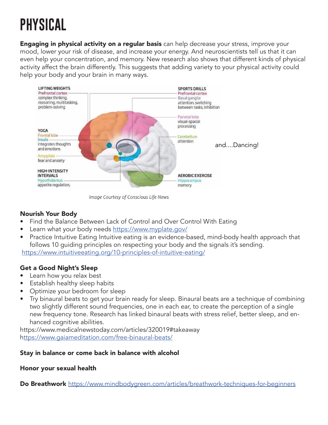## **PHYSICAL**

**Engaging in physical activity on a regular basis** can help decrease your stress, improve your mood, lower your risk of disease, and increase your energy. And neuroscientists tell us that it can even help your concentration, and memory. New research also shows that different kinds of physical activity affect the brain differently. This suggests that adding variety to your physical activity could help your body and your brain in many ways.



Image Courtesy of Conscious Life News

#### Nourish Your Body

- Find the Balance Between Lack of Control and Over Control With Eating
- Learn what your body needs https://www.myplate.gov/
- Practice Intuitive Eating Intuitive eating is an evidence-based, mind-body health approach that follows 10 guiding principles on respecting your body and the signals it's sending. https://www.intuitiveeating.org/10-principles-of-intuitive-eating/

#### Get a Good Night's Sleep

- Learn how you relax best
- **Establish healthy sleep habits**
- Optimize your bedroom for sleep
- Try binaural beats to get your brain ready for sleep. Binaural beats are a technique of combining two slightly different sound frequencies, one in each ear, to create the perception of a single new frequency tone. Research has linked binaural beats with stress relief, better sleep, and enhanced cognitive abilities.

https://www.medicalnewstoday.com/articles/320019#takeaway https://www.gaiameditation.com/free-binaural-beats/

#### Stay in balance or come back in balance with alcohol

#### Honor your sexual health

Do Breathwork https://www.mindbodygreen.com/articles/breathwork-techniques-for-beginners